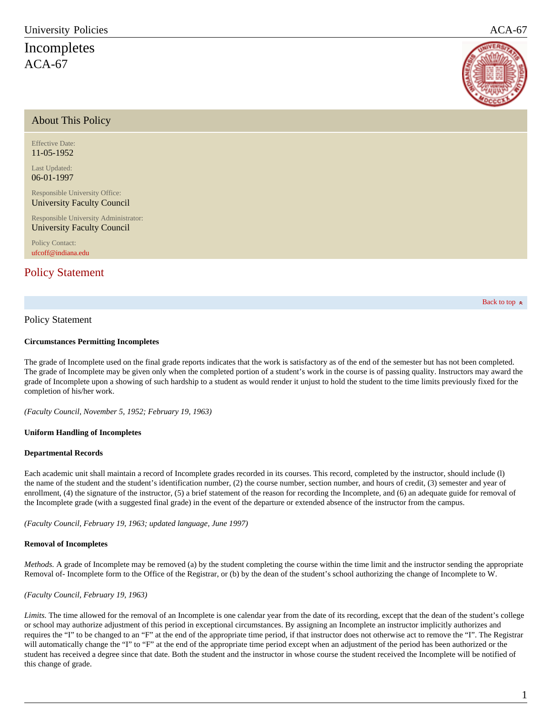# <span id="page-0-1"></span>Incompletes  $ACA-67$



### About This Policy

Effective Date: 11-05-1952

Last Updated: 06-01-1997

Responsible University Office: University Faculty Council

Responsible University Administrator: University Faculty Council

Policy Contact: [ufcoff@indiana.edu](mailto:ufcoff@indiana.edu)

## [Policy Statement](#page-0-0)

[Back to top](#page-0-1)  $\approx$ 

#### <span id="page-0-0"></span>Policy Statement

#### **Circumstances Permitting Incompletes**

The grade of Incomplete used on the final grade reports indicates that the work is satisfactory as of the end of the semester but has not been completed. The grade of Incomplete may be given only when the completed portion of a student's work in the course is of passing quality. Instructors may award the grade of Incomplete upon a showing of such hardship to a student as would render it unjust to hold the student to the time limits previously fixed for the completion of his/her work.

*(Faculty Council, November 5, 1952; February 19, 1963)*

#### **Uniform Handling of Incompletes**

#### **Departmental Records**

Each academic unit shall maintain a record of Incomplete grades recorded in its courses. This record, completed by the instructor, should include (l) the name of the student and the student's identification number, (2) the course number, section number, and hours of credit, (3) semester and year of enrollment, (4) the signature of the instructor, (5) a brief statement of the reason for recording the Incomplete, and (6) an adequate guide for removal of the Incomplete grade (with a suggested final grade) in the event of the departure or extended absence of the instructor from the campus.

*(Faculty Council, February 19, 1963; updated language, June 1997)*

#### **Removal of Incompletes**

*Methods.* A grade of Incomplete may be removed (a) by the student completing the course within the time limit and the instructor sending the appropriate Removal of- Incomplete form to the Office of the Registrar, or (b) by the dean of the student's school authorizing the change of Incomplete to W.

#### *(Faculty Council, February 19, 1963)*

Limits. The time allowed for the removal of an Incomplete is one calendar year from the date of its recording, except that the dean of the student's college or school may authorize adjustment of this period in exceptional circumstances. By assigning an Incomplete an instructor implicitly authorizes and requires the "I" to be changed to an "F" at the end of the appropriate time period, if that instructor does not otherwise act to remove the "I". The Registrar will automatically change the "I" to "F" at the end of the appropriate time period except when an adjustment of the period has been authorized or the student has received a degree since that date. Both the student and the instructor in whose course the student received the Incomplete will be notified of this change of grade.